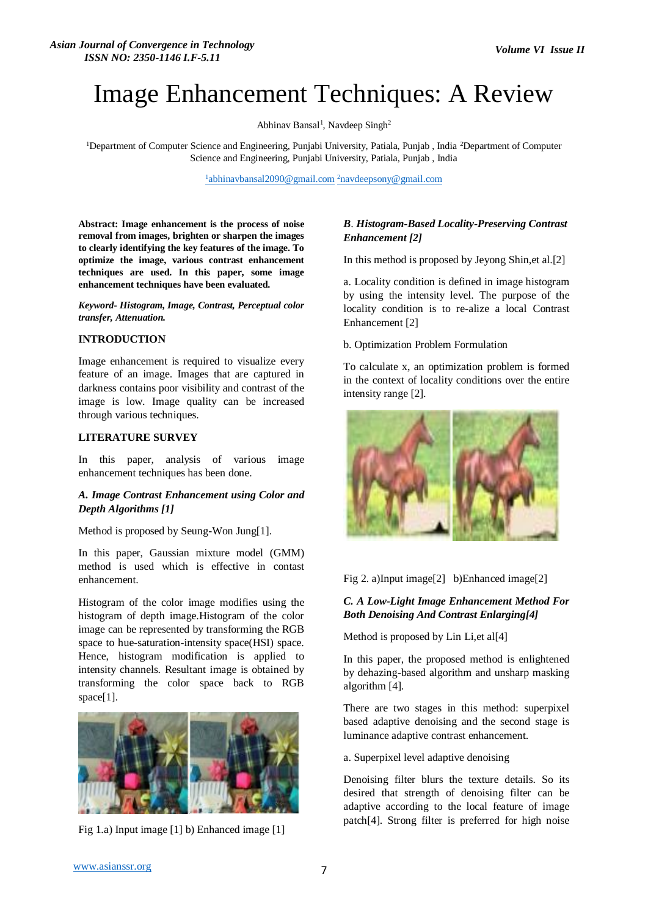# Image Enhancement Techniques: A Review

Abhinav Bansal<sup>1</sup>, Navdeep Singh<sup>2</sup>

<sup>1</sup>Department of Computer Science and Engineering, Punjabi University, Patiala, Punjab , India <sup>2</sup>Department of Computer Science and Engineering, Punjabi University, Patiala, Punjab , India

<sup>1</sup>[abhinavbansal2090@gmail.com](mailto:1abhinavbansal2090@gmail.com) <sup>2</sup>[navdeepsony@gmail.com](mailto:2navdeepsony@gmail.com)

**Abstract: Image enhancement is the process of noise removal from images, brighten or sharpen the images to clearly identifying the key features of the image. To optimize the image, various contrast enhancement techniques are used. In this paper, some image enhancement techniques have been evaluated.**

*Keyword- Histogram, Image, Contrast, Perceptual color transfer, Attenuation.*

#### **INTRODUCTION**

Image enhancement is required to visualize every feature of an image. Images that are captured in darkness contains poor visibility and contrast of the image is low. Image quality can be increased through various techniques.

#### **LITERATURE SURVEY**

In this paper, analysis of various image enhancement techniques has been done.

## *A. Image Contrast Enhancement using Color and Depth Algorithms [1]*

Method is proposed by Seung-Won Jung[1].

In this paper, Gaussian mixture model (GMM) method is used which is effective in contast enhancement.

Histogram of the color image modifies using the histogram of depth image.Histogram of the color image can be represented by transforming the RGB space to hue-saturation-intensity space(HSI) space. Hence, histogram modification is applied to intensity channels. Resultant image is obtained by transforming the color space back to RGB space[1].



Fig 1.a) Input image [1] b) Enhanced image [1]

## *B*. *Histogram-Based Locality-Preserving Contrast Enhancement [2]*

In this method is proposed by Jeyong Shin,et al.[2]

a. Locality condition is defined in image histogram by using the intensity level. The purpose of the locality condition is to re-alize a local Contrast Enhancement [2]

b. Optimization Problem Formulation

To calculate x, an optimization problem is formed in the context of locality conditions over the entire intensity range [2].



Fig 2. a)Input image[2] b)Enhanced image[2]

### *C. A Low-Light Image Enhancement Method For Both Denoising And Contrast Enlarging[4]*

Method is proposed by Lin Li,et al[4]

In this paper, the proposed method is enlightened by dehazing-based algorithm and unsharp masking algorithm [4].

There are two stages in this method: superpixel based adaptive denoising and the second stage is luminance adaptive contrast enhancement.

a. Superpixel level adaptive denoising

Denoising filter blurs the texture details. So its desired that strength of denoising filter can be adaptive according to the local feature of image patch[4]. Strong filter is preferred for high noise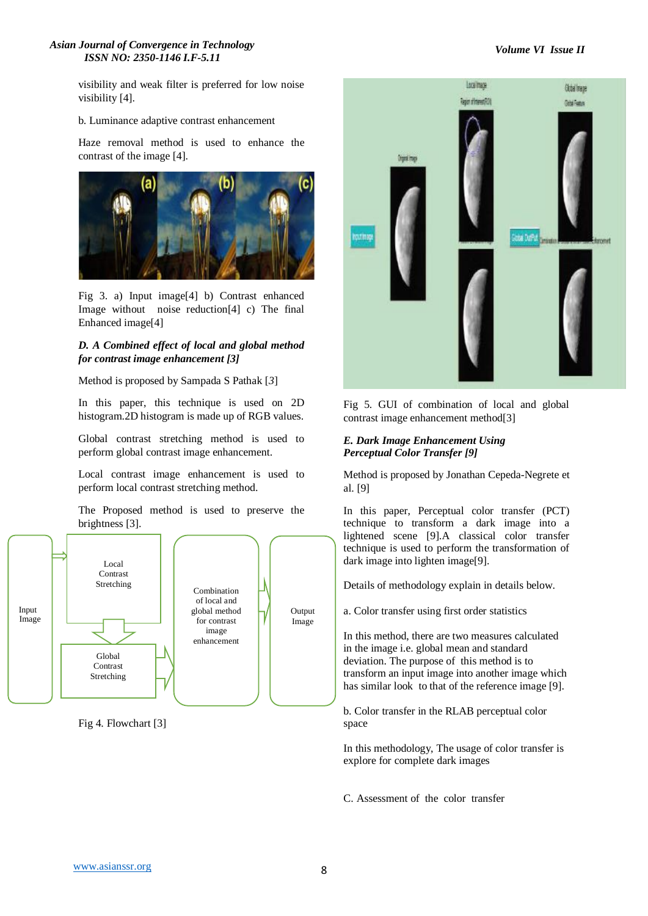#### *Asian Journal of Convergence in Technology ISSN NO: 2350-1146 I.F-5.11*

# *Volume VI Issue II*

visibility and weak filter is preferred for low noise visibility [4].

#### b. Luminance adaptive contrast enhancement

Haze removal method is used to enhance the contrast of the image [4].



Fig 3. a) Input image[4] b) Contrast enhanced Image without noise reduction[4] c) The final Enhanced image[4]

## *D. A Combined effect of local and global method for contrast image enhancement [3]*

Method is proposed by Sampada S Pathak [*3*]

In this paper, this technique is used on 2D histogram.2D histogram is made up of RGB values.

Global contrast stretching method is used to perform global contrast image enhancement.

Local contrast image enhancement is used to perform local contrast stretching method.

The Proposed method is used to preserve the brightness [3].



Fig 4. Flowchart [3]



Fig 5. GUI of combination of local and global contrast image enhancement method[3]

## *E. Dark Image Enhancement Using Perceptual Color Transfer [9]*

Method is proposed by Jonathan Cepeda-Negrete et al. [9]

In this paper, Perceptual color transfer (PCT) technique to transform a dark image into a lightened scene [9].A classical color transfer technique is used to perform the transformation of dark image into lighten image[9].

Details of methodology explain in details below.

a. Color transfer using first order statistics

In this method, there are two measures calculated in the image i.e. global mean and standard deviation. The purpose of this method is to transform an input image into another image which has similar look to that of the reference image [9].

b. Color transfer in the RLAB perceptual color space

In this methodology, The usage of color transfer is explore for complete dark images

C. Assessment of the color transfer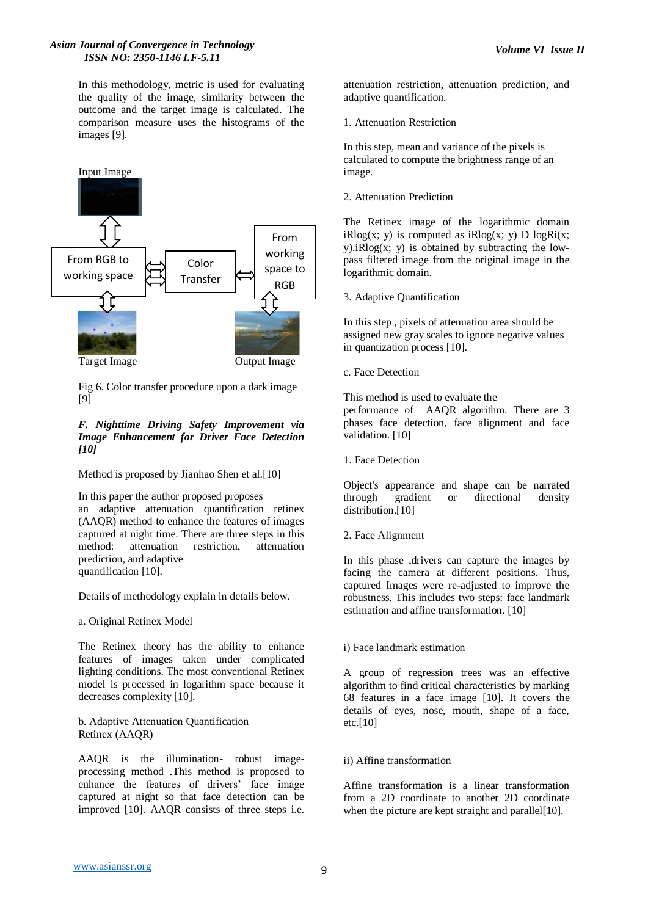#### *Asian Journal of Convergence in Technology ISSN NO: 2350-1146 I.F-5.11*

In this methodology, metric is used for evaluating the quality of the image, similarity between the outcome and the target image is calculated. The comparison measure uses the histograms of the images [9].



Fig 6. Color transfer procedure upon a dark image [9]

### *F. Nighttime Driving Safety Improvement via Image Enhancement for Driver Face Detection [10]*

Method is proposed by Jianhao Shen et al.[10]

In this paper the author proposed proposes an adaptive attenuation quantification retinex (AAQR) method to enhance the features of images captured at night time. There are three steps in this method: attenuation restriction, attenuation prediction, and adaptive quantification [10].

Details of methodology explain in details below.

a. Original Retinex Model

The Retinex theory has the ability to enhance features of images taken under complicated lighting conditions. The most conventional Retinex model is processed in logarithm space because it decreases complexity [10].

b. Adaptive Attenuation Quantification Retinex (AAQR)

AAQR is the illumination- robust imageprocessing method .This method is proposed to enhance the features of drivers' face image captured at night so that face detection can be improved [10]. AAQR consists of three steps i.e. attenuation restriction, attenuation prediction, and adaptive quantification.

1. Attenuation Restriction

In this step, mean and variance of the pixels is calculated to compute the brightness range of an image.

2. Attenuation Prediction

The Retinex image of the logarithmic domain  $iR\nlog(x; v)$  is computed as  $iR\nlog(x; v)$  D  $\log(x; x)$  $v$ ).*iRlog(x; v)* is obtained by subtracting the lowpass filtered image from the original image in the logarithmic domain.

3. Adaptive Quantification

In this step , pixels of attenuation area should be assigned new gray scales to ignore negative values in quantization process [10].

c. Face Detection

This method is used to evaluate the performance of AAQR algorithm. There are 3 phases face detection, face alignment and face validation. [10]

1. Face Detection

Object's appearance and shape can be narrated through gradient or directional density distribution.<sup>[10]</sup>

2. Face Alignment

In this phase ,drivers can capture the images by facing the camera at different positions. Thus, captured Images were re-adjusted to improve the robustness. This includes two steps: face landmark estimation and affine transformation. [10]

### i) Face landmark estimation

A group of regression trees was an effective algorithm to find critical characteristics by marking 68 features in a face image [10]. It covers the details of eyes, nose, mouth, shape of a face,  $etc.[10]$ 

### ii) Affine transformation

Affine transformation is a linear transformation from a 2D coordinate to another 2D coordinate when the picture are kept straight and parallel[10].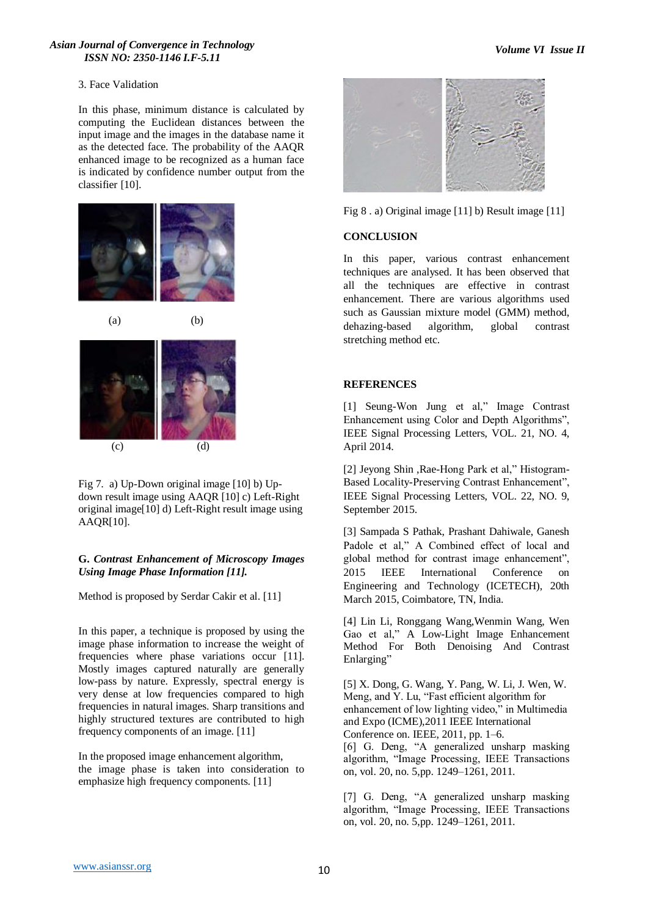#### *Asian Journal of Convergence in Technology ISSN NO: 2350-1146 I.F-5.11*

#### 3. Face Validation

In this phase, minimum distance is calculated by computing the Euclidean distances between the input image and the images in the database name it as the detected face. The probability of the AAQR enhanced image to be recognized as a human face is indicated by confidence number output from the classifier [10].





 $(a)$  (b)



Fig 7. a) Up-Down original image [10] b) Updown result image using AAQR [10] c) Left-Right original image[10] d) Left-Right result image using AAQR[10].

## **G.** *Contrast Enhancement of Microscopy Images Using Image Phase Information [11].*

Method is proposed by Serdar Cakir et al. [11]

In this paper, a technique is proposed by using the image phase information to increase the weight of frequencies where phase variations occur [11]. Mostly images captured naturally are generally low-pass by nature. Expressly, spectral energy is very dense at low frequencies compared to high frequencies in natural images. Sharp transitions and highly structured textures are contributed to high frequency components of an image. [11]

In the proposed image enhancement algorithm, the image phase is taken into consideration to emphasize high frequency components. [11]



Fig 8 . a) Original image [11] b) Result image [11]

## **CONCLUSION**

In this paper, various contrast enhancement techniques are analysed. It has been observed that all the techniques are effective in contrast enhancement. There are various algorithms used such as Gaussian mixture model (GMM) method, dehazing-based algorithm, global contrast stretching method etc.

# **REFERENCES**

[1] Seung-Won Jung et al," Image Contrast Enhancement using Color and Depth Algorithms", IEEE Signal Processing Letters, VOL. 21, NO. 4, April 2014.

[2] Jeyong Shin ,Rae-Hong Park et al," Histogram-Based Locality-Preserving Contrast Enhancement", IEEE Signal Processing Letters, VOL. 22, NO. 9, September 2015.

[3] Sampada S Pathak, Prashant Dahiwale, Ganesh Padole et al," A Combined effect of local and global method for contrast image enhancement", 2015 IEEE International Conference on Engineering and Technology (ICETECH), 20th March 2015, Coimbatore, TN, India.

[4] Lin Li, Ronggang Wang,Wenmin Wang, Wen Gao et al," A Low-Light Image Enhancement Method For Both Denoising And Contrast Enlarging"

[5] X. Dong, G. Wang, Y. Pang, W. Li, J. Wen, W. Meng, and Y. Lu, "Fast efficient algorithm for enhancement of low lighting video," in Multimedia and Expo (ICME),2011 IEEE International Conference on. IEEE, 2011, pp. 1–6.

[6] G. Deng, "A generalized unsharp masking algorithm, "Image Processing, IEEE Transactions on, vol. 20, no. 5,pp. 1249–1261, 2011.

[7] G. Deng, "A generalized unsharp masking algorithm, "Image Processing, IEEE Transactions on, vol. 20, no. 5,pp. 1249–1261, 2011.